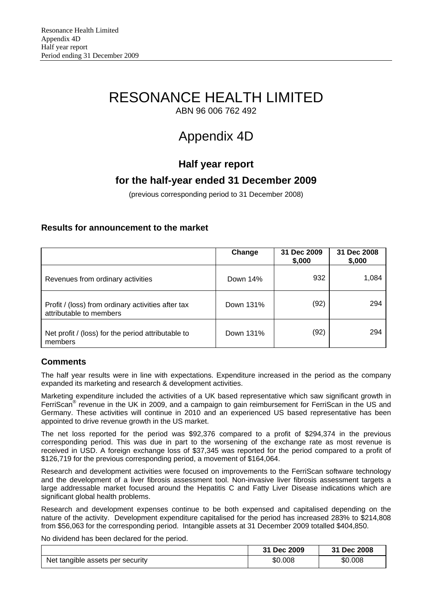# RESONANCE HEALTH LIMITED

ABN 96 006 762 492

# Appendix 4D

# **Half year report**

# **for the half-year ended 31 December 2009**

(previous corresponding period to 31 December 2008)

# **Results for announcement to the market**

|                                                                               | Change    | 31 Dec 2009<br>\$,000 | 31 Dec 2008<br>\$,000 |
|-------------------------------------------------------------------------------|-----------|-----------------------|-----------------------|
| Revenues from ordinary activities                                             | Down 14%  | 932                   | 1,084                 |
| Profit / (loss) from ordinary activities after tax<br>attributable to members | Down 131% | (92)                  | 294                   |
| Net profit / (loss) for the period attributable to<br>members                 | Down 131% | (92)                  | 294                   |

# **Comments**

The half year results were in line with expectations. Expenditure increased in the period as the company expanded its marketing and research & development activities.

Marketing expenditure included the activities of a UK based representative which saw significant growth in FerriScan<sup>®</sup> revenue in the UK in 2009, and a campaign to gain reimbursement for FerriScan in the US and Germany. These activities will continue in 2010 and an experienced US based representative has been appointed to drive revenue growth in the US market.

The net loss reported for the period was \$92,376 compared to a profit of \$294,374 in the previous corresponding period. This was due in part to the worsening of the exchange rate as most revenue is received in USD. A foreign exchange loss of \$37,345 was reported for the period compared to a profit of \$126,719 for the previous corresponding period, a movement of \$164,064.

Research and development activities were focused on improvements to the FerriScan software technology and the development of a liver fibrosis assessment tool. Non-invasive liver fibrosis assessment targets a large addressable market focused around the Hepatitis C and Fatty Liver Disease indications which are significant global health problems.

Research and development expenses continue to be both expensed and capitalised depending on the nature of the activity. Development expenditure capitalised for the period has increased 283% to \$214,808 from \$56,063 for the corresponding period. Intangible assets at 31 December 2009 totalled \$404,850.

No dividend has been declared for the period.

|                                  | 31 Dec 2009 | 31 Dec 2008 |
|----------------------------------|-------------|-------------|
| Net tangible assets per security | \$0.008     | \$0.008     |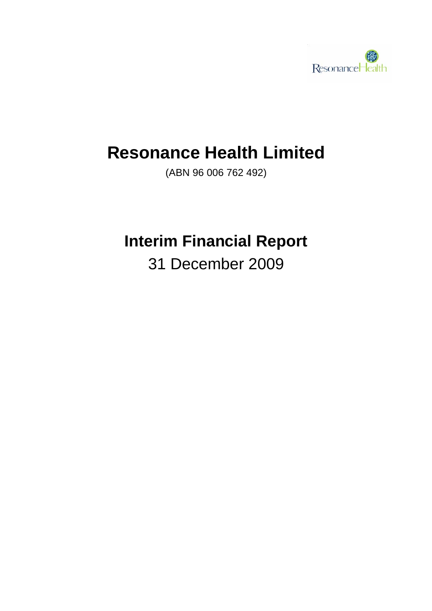

# **Resonance Health Limited**

(ABN 96 006 762 492)

# **Interim Financial Report**

31 December 2009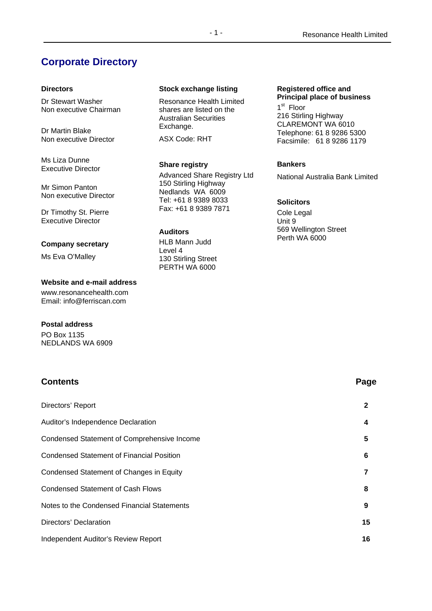# **Corporate Directory**

### **Directors**

Dr Stewart Washer Non executive Chairman

Dr Martin Blake Non executive Director

Ms Liza Dunne Executive Director

Mr Simon Panton Non executive Director

Dr Timothy St. Pierre Executive Director

### **Company secretary**

Ms Eva O'Malley

### **Website and e-mail address**

www.resonancehealth.com Email: info@ferriscan.com

### **Postal address**

PO Box 1135 NEDLANDS WA 6909

### **Stock exchange listing**

Resonance Health Limited shares are listed on the Australian Securities Exchange.

ASX Code: RHT

### **Share registry**

Advanced Share Registry Ltd 150 Stirling Highway Nedlands WA 6009 Tel: +61 8 9389 8033 Fax: +61 8 9389 7871

### **Auditors**

HLB Mann Judd Level 4 130 Stirling Street PERTH WA 6000

#### **Registered office and Principal place of business**

1<sup>st</sup> Floor 216 Stirling Highway CLAREMONT WA 6010 Telephone: 61 8 9286 5300 Facsimile: 61 8 9286 1179

### **Bankers**

National Australia Bank Limited

### **Solicitors**

Cole Legal Unit 9 569 Wellington Street Perth WA 6000

# Directors' Report **2**  Auditor's Independence Declaration **4**  Condensed Statement of Comprehensive Income **5**  Condensed Statement of Financial Position **6**  Condensed Statement of Changes in Equity **7**  Condensed Statement of Cash Flows **8**  Notes to the Condensed Financial Statements **9**  Directors' Declaration **15**  Independent Auditor's Review Report **16**

**Contents Page**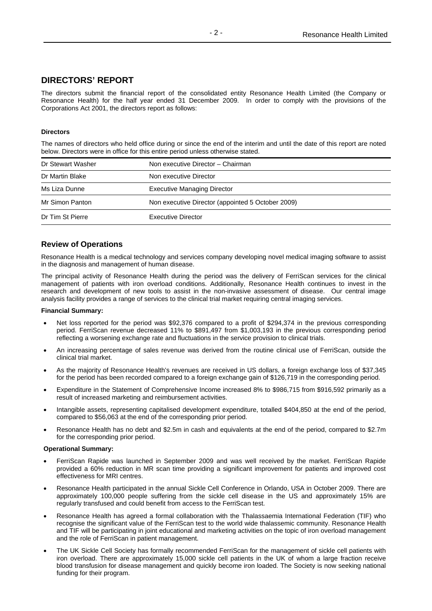## **DIRECTORS' REPORT**

The directors submit the financial report of the consolidated entity Resonance Health Limited (the Company or Resonance Health) for the half year ended 31 December 2009. In order to comply with the provisions of the Corporations Act 2001, the directors report as follows:

### **Directors**

The names of directors who held office during or since the end of the interim and until the date of this report are noted below. Directors were in office for this entire period unless otherwise stated.

| Dr Stewart Washer | Non executive Director - Chairman                 |  |
|-------------------|---------------------------------------------------|--|
| Dr Martin Blake   | Non executive Director                            |  |
| Ms Liza Dunne     | <b>Executive Managing Director</b>                |  |
| Mr Simon Panton   | Non executive Director (appointed 5 October 2009) |  |
| Dr Tim St Pierre  | Executive Director                                |  |

### **Review of Operations**

Resonance Health is a medical technology and services company developing novel medical imaging software to assist in the diagnosis and management of human disease.

The principal activity of Resonance Health during the period was the delivery of FerriScan services for the clinical management of patients with iron overload conditions. Additionally, Resonance Health continues to invest in the research and development of new tools to assist in the non-invasive assessment of disease. Our central image analysis facility provides a range of services to the clinical trial market requiring central imaging services.

### **Financial Summary:**

- Net loss reported for the period was \$92,376 compared to a profit of \$294,374 in the previous corresponding period. FerriScan revenue decreased 11% to \$891,497 from \$1,003,193 in the previous corresponding period reflecting a worsening exchange rate and fluctuations in the service provision to clinical trials.
- An increasing percentage of sales revenue was derived from the routine clinical use of FerriScan, outside the clinical trial market.
- As the majority of Resonance Health's revenues are received in US dollars, a foreign exchange loss of \$37,345 for the period has been recorded compared to a foreign exchange gain of \$126,719 in the corresponding period.
- Expenditure in the Statement of Comprehensive Income increased 8% to \$986,715 from \$916,592 primarily as a result of increased marketing and reimbursement activities.
- Intangible assets, representing capitalised development expenditure, totalled \$404,850 at the end of the period, compared to \$56,063 at the end of the corresponding prior period.
- Resonance Health has no debt and \$2.5m in cash and equivalents at the end of the period, compared to \$2.7m for the corresponding prior period.

### **Operational Summary:**

- FerriScan Rapide was launched in September 2009 and was well received by the market. FerriScan Rapide provided a 60% reduction in MR scan time providing a significant improvement for patients and improved cost effectiveness for MRI centres.
- Resonance Health participated in the annual Sickle Cell Conference in Orlando, USA in October 2009. There are approximately 100,000 people suffering from the sickle cell disease in the US and approximately 15% are regularly transfused and could benefit from access to the FerriScan test.
- Resonance Health has agreed a formal collaboration with the Thalassaemia International Federation (TIF) who recognise the significant value of the FerriScan test to the world wide thalassemic community. Resonance Health and TIF will be participating in joint educational and marketing activities on the topic of iron overload management and the role of FerriScan in patient management.
- The UK Sickle Cell Society has formally recommended FerriScan for the management of sickle cell patients with iron overload. There are approximately 15,000 sickle cell patients in the UK of whom a large fraction receive blood transfusion for disease management and quickly become iron loaded. The Society is now seeking national funding for their program.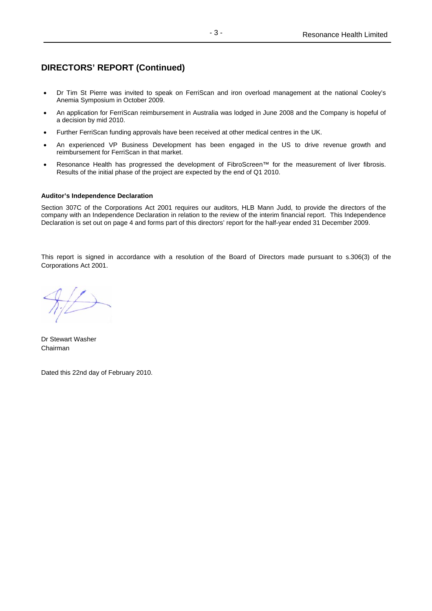# **DIRECTORS' REPORT (Continued)**

- Dr Tim St Pierre was invited to speak on FerriScan and iron overload management at the national Cooley's Anemia Symposium in October 2009.
- An application for FerriScan reimbursement in Australia was lodged in June 2008 and the Company is hopeful of a decision by mid 2010.
- Further FerriScan funding approvals have been received at other medical centres in the UK.
- An experienced VP Business Development has been engaged in the US to drive revenue growth and reimbursement for FerriScan in that market.
- Resonance Health has progressed the development of FibroScreen™ for the measurement of liver fibrosis. Results of the initial phase of the project are expected by the end of Q1 2010.

### **Auditor's Independence Declaration**

Section 307C of the Corporations Act 2001 requires our auditors, HLB Mann Judd, to provide the directors of the company with an Independence Declaration in relation to the review of the interim financial report. This Independence Declaration is set out on page 4 and forms part of this directors' report for the half-year ended 31 December 2009.

This report is signed in accordance with a resolution of the Board of Directors made pursuant to s.306(3) of the Corporations Act 2001.

Dr Stewart Washer Chairman

Dated this 22nd day of February 2010.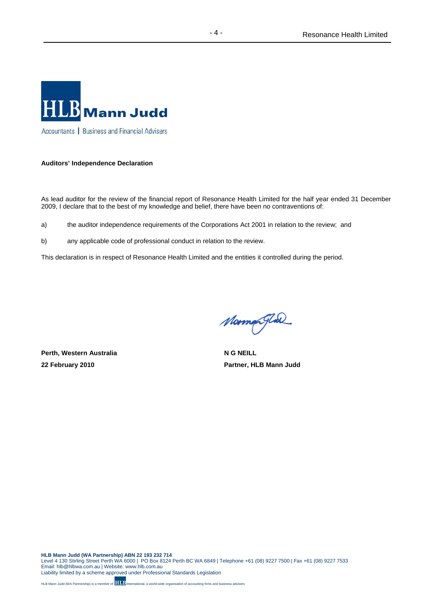

### **Auditors' Independence Declaration**

As lead auditor for the review of the financial report of Resonance Health Limited for the half year ended 31 December 2009, I declare that to the best of my knowledge and belief, there have been no contraventions of:

- a) the auditor independence requirements of the Corporations Act 2001 in relation to the review; and
- b) any applicable code of professional conduct in relation to the review.

This declaration is in respect of Resonance Health Limited and the entities it controlled during the period.

**Perth, Western Australia** N G NEILL

Mormor Glad

**22 February 2010 Partner, HLB Mann Judd**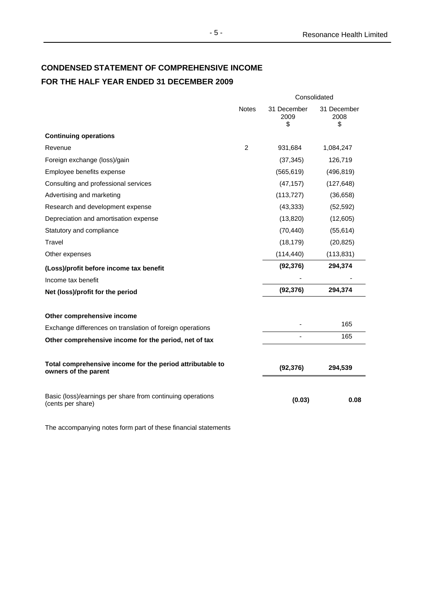# **CONDENSED STATEMENT OF COMPREHENSIVE INCOME FOR THE HALF YEAR ENDED 31 DECEMBER 2009**

|                                                                                   | Consolidated   |                           |                           |
|-----------------------------------------------------------------------------------|----------------|---------------------------|---------------------------|
|                                                                                   | <b>Notes</b>   | 31 December<br>2009<br>\$ | 31 December<br>2008<br>\$ |
| <b>Continuing operations</b>                                                      |                |                           |                           |
| Revenue                                                                           | $\overline{2}$ | 931,684                   | 1,084,247                 |
| Foreign exchange (loss)/gain                                                      |                | (37, 345)                 | 126,719                   |
| Employee benefits expense                                                         |                | (565, 619)                | (496, 819)                |
| Consulting and professional services                                              |                | (47, 157)                 | (127, 648)                |
| Advertising and marketing                                                         |                | (113, 727)                | (36, 658)                 |
| Research and development expense                                                  |                | (43, 333)                 | (52, 592)                 |
| Depreciation and amortisation expense                                             |                | (13, 820)                 | (12,605)                  |
| Statutory and compliance                                                          |                | (70, 440)                 | (55, 614)                 |
| Travel                                                                            |                | (18, 179)                 | (20, 825)                 |
| Other expenses                                                                    |                | (114, 440)                | (113, 831)                |
| (Loss)/profit before income tax benefit                                           |                | (92, 376)                 | 294,374                   |
| Income tax benefit                                                                |                |                           |                           |
| Net (loss)/profit for the period                                                  |                | (92, 376)                 | 294,374                   |
| Other comprehensive income                                                        |                |                           |                           |
| Exchange differences on translation of foreign operations                         |                |                           | 165                       |
| Other comprehensive income for the period, net of tax                             |                |                           | 165                       |
| Total comprehensive income for the period attributable to<br>owners of the parent |                | (92, 376)                 | 294,539                   |
| Basic (loss)/earnings per share from continuing operations<br>(cents per share)   |                | (0.03)                    | 0.08                      |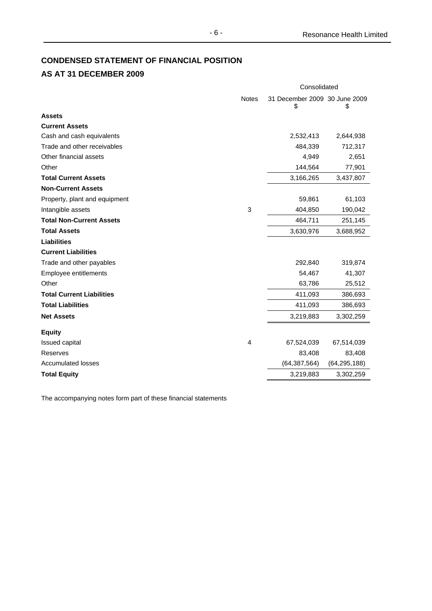# **CONDENSED STATEMENT OF FINANCIAL POSITION**

# **AS AT 31 DECEMBER 2009**

|                                  |              | Consolidated                        |                |  |
|----------------------------------|--------------|-------------------------------------|----------------|--|
|                                  | <b>Notes</b> | 31 December 2009 30 June 2009<br>\$ | \$             |  |
| <b>Assets</b>                    |              |                                     |                |  |
| <b>Current Assets</b>            |              |                                     |                |  |
| Cash and cash equivalents        |              | 2,532,413                           | 2,644,938      |  |
| Trade and other receivables      |              | 484,339                             | 712,317        |  |
| Other financial assets           |              | 4,949                               | 2,651          |  |
| Other                            |              | 144,564                             | 77,901         |  |
| <b>Total Current Assets</b>      |              | 3,166,265                           | 3,437,807      |  |
| <b>Non-Current Assets</b>        |              |                                     |                |  |
| Property, plant and equipment    |              | 59,861                              | 61,103         |  |
| Intangible assets                | 3            | 404,850                             | 190,042        |  |
| <b>Total Non-Current Assets</b>  |              | 464,711                             | 251,145        |  |
| <b>Total Assets</b>              |              | 3,630,976                           | 3,688,952      |  |
| <b>Liabilities</b>               |              |                                     |                |  |
| <b>Current Liabilities</b>       |              |                                     |                |  |
| Trade and other payables         |              | 292,840                             | 319,874        |  |
| Employee entitlements            |              | 54,467                              | 41,307         |  |
| Other                            |              | 63,786                              | 25,512         |  |
| <b>Total Current Liabilities</b> |              | 411,093                             | 386,693        |  |
| <b>Total Liabilities</b>         |              | 411,093                             | 386,693        |  |
| <b>Net Assets</b>                |              | 3,219,883                           | 3,302,259      |  |
| <b>Equity</b>                    |              |                                     |                |  |
| <b>Issued capital</b>            | 4            | 67,524,039                          | 67,514,039     |  |
| Reserves                         |              | 83,408                              | 83,408         |  |
| <b>Accumulated losses</b>        |              | (64, 387, 564)                      | (64, 295, 188) |  |
| <b>Total Equity</b>              |              | 3,219,883                           | 3,302,259      |  |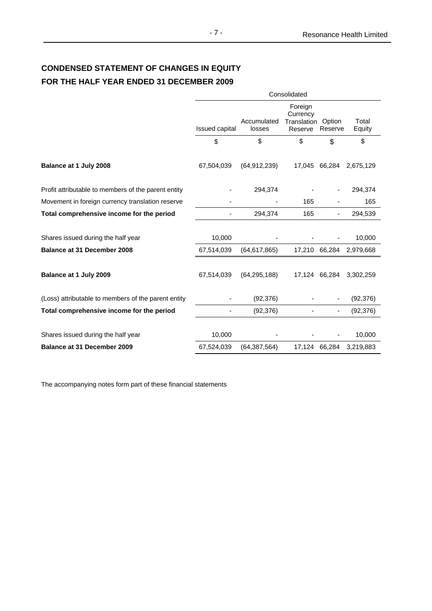# **CONDENSED STATEMENT OF CHANGES IN EQUITY FOR THE HALF YEAR ENDED 31 DECEMBER 2009**

|                                                     | Consolidated   |                       |                                                             |               |                 |
|-----------------------------------------------------|----------------|-----------------------|-------------------------------------------------------------|---------------|-----------------|
|                                                     | Issued capital | Accumulated<br>losses | Foreign<br>Currency<br><b>Translation Option</b><br>Reserve | Reserve       | Total<br>Equity |
|                                                     | \$             | \$                    | \$                                                          | \$            | \$              |
| Balance at 1 July 2008                              | 67,504,039     | (64, 912, 239)        |                                                             | 17,045 66,284 | 2,675,129       |
| Profit attributable to members of the parent entity |                | 294,374               |                                                             |               | 294,374         |
| Movement in foreign currency translation reserve    |                |                       | 165                                                         |               | 165             |
| Total comprehensive income for the period           |                | 294,374               | 165                                                         |               | 294,539         |
| Shares issued during the half year                  | 10,000         |                       |                                                             |               | 10,000          |
| <b>Balance at 31 December 2008</b>                  | 67,514,039     | (64, 617, 865)        | 17,210                                                      | 66,284        | 2,979,668       |
| Balance at 1 July 2009                              | 67,514,039     | (64, 295, 188)        |                                                             | 17,124 66,284 | 3,302,259       |
| (Loss) attributable to members of the parent entity |                | (92, 376)             |                                                             |               | (92, 376)       |
| Total comprehensive income for the period           |                | (92, 376)             |                                                             |               | (92, 376)       |
| Shares issued during the half year                  | 10,000         |                       |                                                             |               | 10,000          |
| <b>Balance at 31 December 2009</b>                  | 67,524,039     | (64, 387, 564)        | 17,124 66,284                                               |               | 3,219,883       |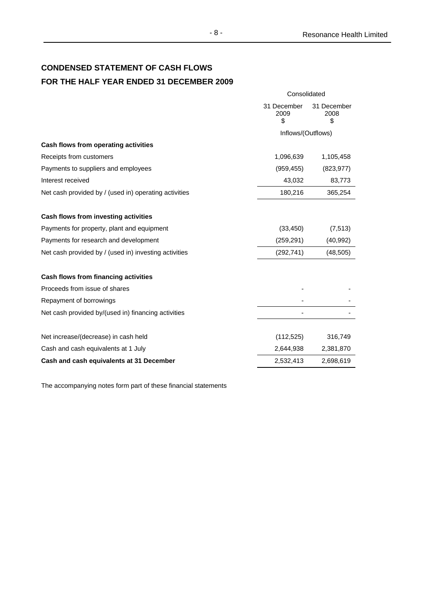# **CONDENSED STATEMENT OF CASH FLOWS FOR THE HALF YEAR ENDED 31 DECEMBER 2009**

|                                                       | Consolidated              |                           |  |
|-------------------------------------------------------|---------------------------|---------------------------|--|
|                                                       | 31 December<br>2009<br>\$ | 31 December<br>2008<br>\$ |  |
|                                                       | Inflows/(Outflows)        |                           |  |
| Cash flows from operating activities                  |                           |                           |  |
| Receipts from customers                               | 1,096,639                 | 1,105,458                 |  |
| Payments to suppliers and employees                   | (959, 455)                | (823, 977)                |  |
| Interest received                                     | 43,032                    | 83,773                    |  |
| Net cash provided by / (used in) operating activities | 180,216                   | 365,254                   |  |
| Cash flows from investing activities                  |                           |                           |  |
| Payments for property, plant and equipment            | (33, 450)                 | (7, 513)                  |  |
| Payments for research and development                 | (259, 291)                | (40, 992)                 |  |
| Net cash provided by / (used in) investing activities | (292, 741)                | (48, 505)                 |  |
| Cash flows from financing activities                  |                           |                           |  |
| Proceeds from issue of shares                         |                           |                           |  |
| Repayment of borrowings                               |                           |                           |  |
| Net cash provided by/(used in) financing activities   |                           |                           |  |
| Net increase/(decrease) in cash held                  | (112, 525)                | 316,749                   |  |
| Cash and cash equivalents at 1 July                   | 2,644,938                 | 2,381,870                 |  |
| Cash and cash equivalents at 31 December              | 2,532,413                 | 2,698,619                 |  |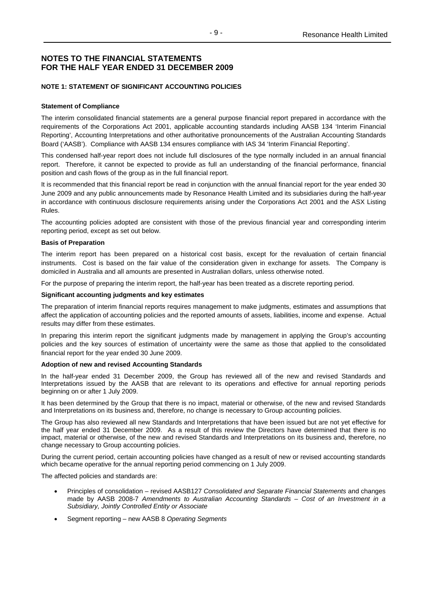### **NOTE 1: STATEMENT OF SIGNIFICANT ACCOUNTING POLICIES**

### **Statement of Compliance**

The interim consolidated financial statements are a general purpose financial report prepared in accordance with the requirements of the Corporations Act 2001, applicable accounting standards including AASB 134 'Interim Financial Reporting', Accounting Interpretations and other authoritative pronouncements of the Australian Accounting Standards Board ('AASB'). Compliance with AASB 134 ensures compliance with IAS 34 'Interim Financial Reporting'.

This condensed half-year report does not include full disclosures of the type normally included in an annual financial report. Therefore, it cannot be expected to provide as full an understanding of the financial performance, financial position and cash flows of the group as in the full financial report.

It is recommended that this financial report be read in conjunction with the annual financial report for the year ended 30 June 2009 and any public announcements made by Resonance Health Limited and its subsidiaries during the half-year in accordance with continuous disclosure requirements arising under the Corporations Act 2001 and the ASX Listing Rules.

The accounting policies adopted are consistent with those of the previous financial year and corresponding interim reporting period, except as set out below.

#### **Basis of Preparation**

The interim report has been prepared on a historical cost basis, except for the revaluation of certain financial instruments. Cost is based on the fair value of the consideration given in exchange for assets. The Company is domiciled in Australia and all amounts are presented in Australian dollars, unless otherwise noted.

For the purpose of preparing the interim report, the half-year has been treated as a discrete reporting period.

#### **Significant accounting judgments and key estimates**

The preparation of interim financial reports requires management to make judgments, estimates and assumptions that affect the application of accounting policies and the reported amounts of assets, liabilities, income and expense. Actual results may differ from these estimates.

In preparing this interim report the significant judgments made by management in applying the Group's accounting policies and the key sources of estimation of uncertainty were the same as those that applied to the consolidated financial report for the year ended 30 June 2009.

### **Adoption of new and revised Accounting Standards**

In the half-year ended 31 December 2009, the Group has reviewed all of the new and revised Standards and Interpretations issued by the AASB that are relevant to its operations and effective for annual reporting periods beginning on or after 1 July 2009.

It has been determined by the Group that there is no impact, material or otherwise, of the new and revised Standards and Interpretations on its business and, therefore, no change is necessary to Group accounting policies.

The Group has also reviewed all new Standards and Interpretations that have been issued but are not yet effective for the half year ended 31 December 2009. As a result of this review the Directors have determined that there is no impact, material or otherwise, of the new and revised Standards and Interpretations on its business and, therefore, no change necessary to Group accounting policies.

During the current period, certain accounting policies have changed as a result of new or revised accounting standards which became operative for the annual reporting period commencing on 1 July 2009.

The affected policies and standards are:

- Principles of consolidation revised AASB127 *Consolidated and Separate Financial Statements* and changes made by AASB 2008-7 *Amendments to Australian Accounting Standards – Cost of an Investment in a Subsidiary, Jointly Controlled Entity or Associate*
- Segment reporting new AASB 8 *Operating Segments*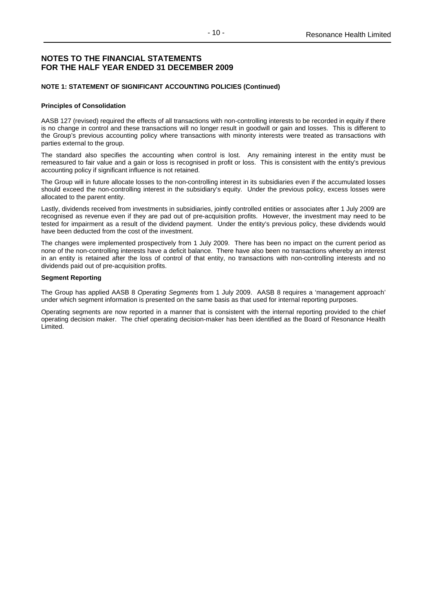### **NOTE 1: STATEMENT OF SIGNIFICANT ACCOUNTING POLICIES (Continued)**

#### **Principles of Consolidation**

AASB 127 (revised) required the effects of all transactions with non-controlling interests to be recorded in equity if there is no change in control and these transactions will no longer result in goodwill or gain and losses. This is different to the Group's previous accounting policy where transactions with minority interests were treated as transactions with parties external to the group.

The standard also specifies the accounting when control is lost. Any remaining interest in the entity must be remeasured to fair value and a gain or loss is recognised in profit or loss. This is consistent with the entity's previous accounting policy if significant influence is not retained.

The Group will in future allocate losses to the non-controlling interest in its subsidiaries even if the accumulated losses should exceed the non-controlling interest in the subsidiary's equity. Under the previous policy, excess losses were allocated to the parent entity.

Lastly, dividends received from investments in subsidiaries, jointly controlled entities or associates after 1 July 2009 are recognised as revenue even if they are pad out of pre-acquisition profits. However, the investment may need to be tested for impairment as a result of the dividend payment. Under the entity's previous policy, these dividends would have been deducted from the cost of the investment.

The changes were implemented prospectively from 1 July 2009. There has been no impact on the current period as none of the non-controlling interests have a deficit balance. There have also been no transactions whereby an interest in an entity is retained after the loss of control of that entity, no transactions with non-controlling interests and no dividends paid out of pre-acquisition profits.

#### **Segment Reporting**

The Group has applied AASB 8 *Operating Segments* from 1 July 2009. AASB 8 requires a 'management approach' under which segment information is presented on the same basis as that used for internal reporting purposes.

Operating segments are now reported in a manner that is consistent with the internal reporting provided to the chief operating decision maker. The chief operating decision-maker has been identified as the Board of Resonance Health Limited.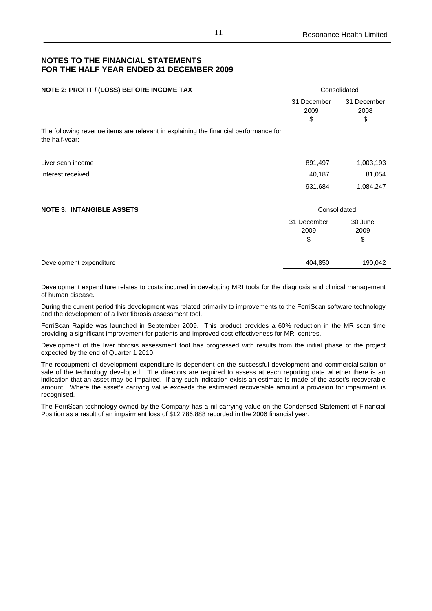| NOTE 2: PROFIT / (LOSS) BEFORE INCOME TAX                                                              | Consolidated              |                           |  |
|--------------------------------------------------------------------------------------------------------|---------------------------|---------------------------|--|
|                                                                                                        | 31 December<br>2009<br>\$ | 31 December<br>2008<br>\$ |  |
| The following revenue items are relevant in explaining the financial performance for<br>the half-year: |                           |                           |  |
| Liver scan income                                                                                      | 891,497                   | 1,003,193                 |  |
| Interest received                                                                                      | 40,187                    | 81,054                    |  |
|                                                                                                        | 931,684                   | 1,084,247                 |  |
| <b>NOTE 3: INTANGIBLE ASSETS</b>                                                                       | Consolidated              |                           |  |
|                                                                                                        | 31 December<br>2009<br>\$ | 30 June<br>2009<br>\$     |  |
| Development expenditure                                                                                | 404,850                   | 190,042                   |  |

Development expenditure relates to costs incurred in developing MRI tools for the diagnosis and clinical management of human disease.

During the current period this development was related primarily to improvements to the FerriScan software technology and the development of a liver fibrosis assessment tool.

FerriScan Rapide was launched in September 2009. This product provides a 60% reduction in the MR scan time providing a significant improvement for patients and improved cost effectiveness for MRI centres.

Development of the liver fibrosis assessment tool has progressed with results from the initial phase of the project expected by the end of Quarter 1 2010.

The recoupment of development expenditure is dependent on the successful development and commercialisation or sale of the technology developed. The directors are required to assess at each reporting date whether there is an indication that an asset may be impaired. If any such indication exists an estimate is made of the asset's recoverable amount. Where the asset's carrying value exceeds the estimated recoverable amount a provision for impairment is recognised.

The FerriScan technology owned by the Company has a nil carrying value on the Condensed Statement of Financial Position as a result of an impairment loss of \$12,786,888 recorded in the 2006 financial year.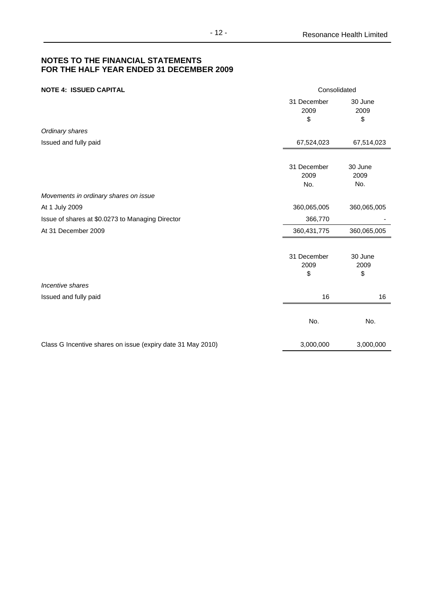| <b>NOTE 4: ISSUED CAPITAL</b>                               | Consolidated               |                        |  |  |
|-------------------------------------------------------------|----------------------------|------------------------|--|--|
|                                                             | 31 December<br>2009<br>\$  | 30 June<br>2009<br>\$  |  |  |
| Ordinary shares                                             |                            |                        |  |  |
| Issued and fully paid                                       | 67,524,023                 | 67,514,023             |  |  |
|                                                             | 31 December<br>2009<br>No. | 30 June<br>2009<br>No. |  |  |
| Movements in ordinary shares on issue                       |                            |                        |  |  |
| At 1 July 2009                                              | 360,065,005                | 360,065,005            |  |  |
| Issue of shares at \$0.0273 to Managing Director            | 366,770                    |                        |  |  |
| At 31 December 2009                                         | 360,431,775                | 360,065,005            |  |  |
|                                                             | 31 December<br>2009<br>\$  | 30 June<br>2009<br>\$  |  |  |
| Incentive shares                                            |                            |                        |  |  |
| Issued and fully paid                                       | 16                         | 16                     |  |  |
|                                                             | No.                        | No.                    |  |  |
| Class G Incentive shares on issue (expiry date 31 May 2010) | 3,000,000                  | 3,000,000              |  |  |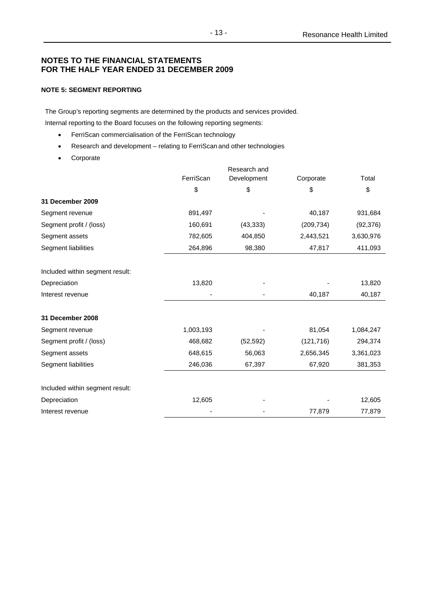### **NOTE 5: SEGMENT REPORTING**

The Group's reporting segments are determined by the products and services provided.

Internal reporting to the Board focuses on the following reporting segments:

- FerriScan commercialisation of the FerriScan technology
- Research and development relating to FerriScan and other technologies
- Corporate

|                                 |           | Research and |            |           |
|---------------------------------|-----------|--------------|------------|-----------|
|                                 | FerriScan | Development  | Corporate  | Total     |
|                                 | \$        | \$           | \$         | \$        |
| 31 December 2009                |           |              |            |           |
| Segment revenue                 | 891,497   |              | 40,187     | 931,684   |
| Segment profit / (loss)         | 160,691   | (43, 333)    | (209, 734) | (92, 376) |
| Segment assets                  | 782,605   | 404,850      | 2,443,521  | 3,630,976 |
| Segment liabilities             | 264,896   | 98,380       | 47,817     | 411,093   |
| Included within segment result: |           |              |            |           |
| Depreciation                    | 13,820    |              |            | 13,820    |
| Interest revenue                |           |              | 40,187     | 40,187    |
| 31 December 2008                |           |              |            |           |
| Segment revenue                 | 1,003,193 |              | 81,054     | 1,084,247 |
| Segment profit / (loss)         | 468,682   | (52, 592)    | (121, 716) | 294,374   |
| Segment assets                  | 648,615   | 56,063       | 2,656,345  | 3,361,023 |
| Segment liabilities             | 246,036   | 67,397       | 67,920     | 381,353   |
| Included within segment result: |           |              |            |           |
| Depreciation                    | 12,605    |              |            | 12,605    |
| Interest revenue                |           |              | 77,879     | 77,879    |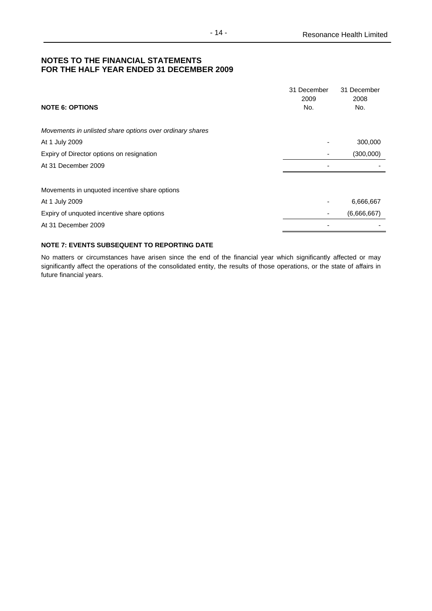| <b>NOTE 6: OPTIONS</b>                                   | 31 December<br>2009<br>No. | 31 December<br>2008<br>No. |
|----------------------------------------------------------|----------------------------|----------------------------|
| Movements in unlisted share options over ordinary shares |                            |                            |
| At 1 July 2009                                           |                            | 300,000                    |
| Expiry of Director options on resignation                |                            | (300,000)                  |
| At 31 December 2009                                      |                            |                            |
|                                                          |                            |                            |
| Movements in unquoted incentive share options            |                            |                            |
| At 1 July 2009                                           |                            | 6,666,667                  |
| Expiry of unquoted incentive share options               |                            | (6,666,667)                |
| At 31 December 2009                                      |                            |                            |

### **NOTE 7: EVENTS SUBSEQUENT TO REPORTING DATE**

No matters or circumstances have arisen since the end of the financial year which significantly affected or may significantly affect the operations of the consolidated entity, the results of those operations, or the state of affairs in future financial years.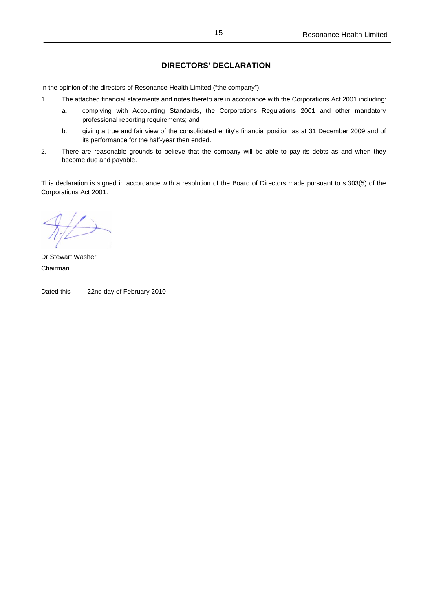## **DIRECTORS' DECLARATION**

In the opinion of the directors of Resonance Health Limited ("the company"):

- 1. The attached financial statements and notes thereto are in accordance with the Corporations Act 2001 including:
	- a. complying with Accounting Standards, the Corporations Regulations 2001 and other mandatory professional reporting requirements; and
	- b. giving a true and fair view of the consolidated entity's financial position as at 31 December 2009 and of its performance for the half-year then ended.
- 2. There are reasonable grounds to believe that the company will be able to pay its debts as and when they become due and payable.

This declaration is signed in accordance with a resolution of the Board of Directors made pursuant to s.303(5) of the Corporations Act 2001.

Dr Stewart Washer Chairman

Dated this 22nd day of February 2010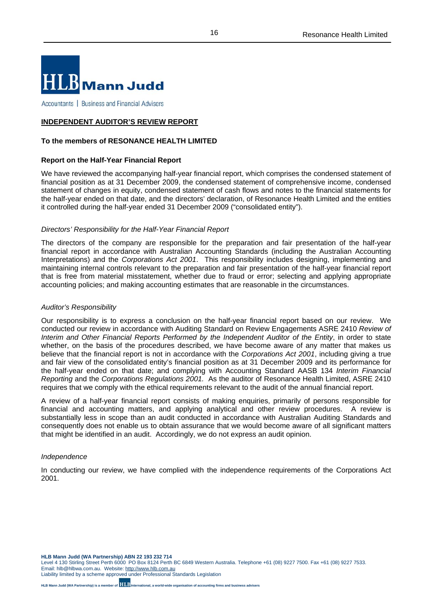

Accountants | Business and Financial Advisers

### **INDEPENDENT AUDITOR'S REVIEW REPORT**

### **To the members of RESONANCE HEALTH LIMITED**

### **Report on the Half-Year Financial Report**

We have reviewed the accompanying half-year financial report, which comprises the condensed statement of financial position as at 31 December 2009, the condensed statement of comprehensive income, condensed statement of changes in equity, condensed statement of cash flows and notes to the financial statements for the half-year ended on that date, and the directors' declaration, of Resonance Health Limited and the entities it controlled during the half-year ended 31 December 2009 ("consolidated entity").

### *Directors' Responsibility for the Half-Year Financial Report*

The directors of the company are responsible for the preparation and fair presentation of the half-year financial report in accordance with Australian Accounting Standards (including the Australian Accounting Interpretations) and the *Corporations Act 2001*. This responsibility includes designing, implementing and maintaining internal controls relevant to the preparation and fair presentation of the half-year financial report that is free from material misstatement, whether due to fraud or error; selecting and applying appropriate accounting policies; and making accounting estimates that are reasonable in the circumstances.

### *Auditor's Responsibility*

Our responsibility is to express a conclusion on the half-year financial report based on our review. We conducted our review in accordance with Auditing Standard on Review Engagements ASRE 2410 *Review of Interim and Other Financial Reports Performed by the Independent Auditor of the Entity*, in order to state whether, on the basis of the procedures described, we have become aware of any matter that makes us believe that the financial report is not in accordance with the *Corporations Act 2001*, including giving a true and fair view of the consolidated entity's financial position as at 31 December 2009 and its performance for the half-year ended on that date; and complying with Accounting Standard AASB 134 *Interim Financial Reporting* and the *Corporations Regulations 2001.* As the auditor of Resonance Health Limited, ASRE 2410 requires that we comply with the ethical requirements relevant to the audit of the annual financial report.

A review of a half-year financial report consists of making enquiries, primarily of persons responsible for financial and accounting matters, and applying analytical and other review procedures. A review is substantially less in scope than an audit conducted in accordance with Australian Auditing Standards and consequently does not enable us to obtain assurance that we would become aware of all significant matters that might be identified in an audit. Accordingly, we do not express an audit opinion.

### *Independence*

In conducting our review, we have complied with the independence requirements of the Corporations Act 2001.